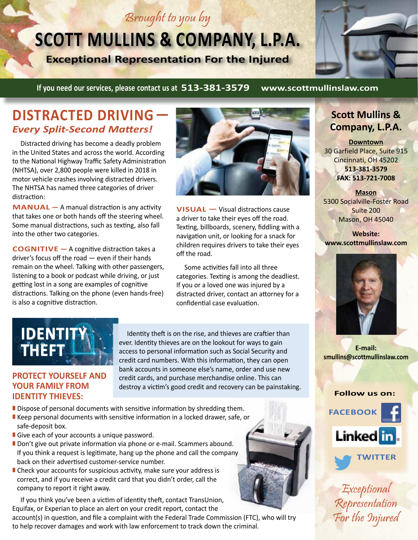## Brought to you by

# **SCOTT MULLINS & COMPANY, L.P.A.**

**Exceptional Representation For the Injured**



#### **If you need our services, please contact us at 513-381-3579 www.scottmullinslaw.com**

#### **DISTRACTED DRIVING—**  *Every Split-Second Matters!*

Distracted driving has become a deadly problem in the United States and across the world. According to the National Highway Traffic Safety Administration (NHTSA), over 2,800 people were killed in 2018 in motor vehicle crashes involving distracted drivers. The NHTSA has named three categories of driver distraction:

**MANUAL —** A manual distraction is any activity that takes one or both hands off the steering wheel. Some manual distractions, such as texting, also fall into the other two categories.

**COGNITIVE** — A cognitive distraction takes a driver's focus off the road — even if their hands remain on the wheel. Talking with other passengers, listening to a book or podcast while driving, or just getting lost in a song are examples of cognitive distractions. Talking on the phone (even hands-free) is also a cognitive distraction.



**VISUAL —** Visual distractions cause a driver to take their eyes off the road. Texting, billboards, scenery, fiddling with a navigation unit, or looking for a snack for children requires drivers to take their eyes off the road.

Some activities fall into all three categories. Texting is among the deadliest. If you or a loved one was injured by a distracted driver, contact an attorney for a confidential case evaluation.



**PROTECT YOURSELF AND YOUR FAMILY FROM IDENTITY THIEVES:**

Identity theft is on the rise, and thieves are craftier than ever. Identity thieves are on the lookout for ways to gain access to personal information such as Social Security and credit card numbers. With this information, they can open bank accounts in someone else's name, order and use new credit cards, and purchase merchandise online. This can destroy a victim's good credit and recovery can be painstaking.

- Dispose of personal documents with sensitive information by shredding them.
- Keep personal documents with sensitive information in a locked drawer, safe, or safe-deposit box.
- Give each of your accounts a unique password.
- Don't give out private information via phone or e-mail. Scammers abound. If you think a request is legitimate, hang up the phone and call the company back on their advertised customer-service number.
- Check your accounts for suspicious activity, make sure your address is correct, and if you receive a credit card that you didn't order, call the company to report it right away.

If you think you've been a victim of identity theft, contact TransUnion, Equifax, or Experian to place an alert on your credit report, contact the

account(s) in question, and file a complaint with the Federal Trade Commission (FTC), who will try to help recover damages and work with law enforcement to track down the criminal.

#### **Scott Mullins & Company, L.P.A.**

**Downtown** 30 Garfield Place, Suite 915 Cincinnati, OH 45202 **513-381-3579 FAX: 513-721-7008**

**Mason** 5300 Socialville-Foster Road Suite 200 Mason, OH 45040

**Website: www.scottmullinslaw.com**



**E-mail: smullins@scottmullinslaw.com**

#### **Follow us on:**



Exceptional Representation For the Injured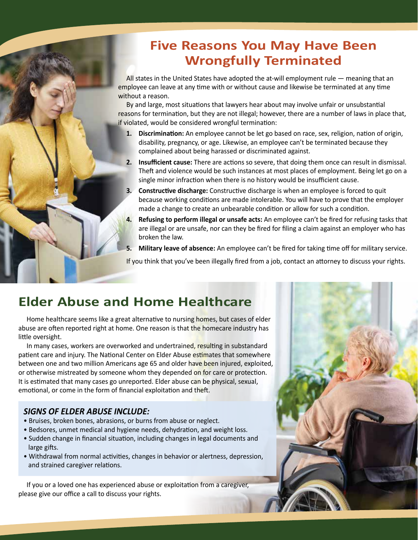### **Five Reasons You May Have Been Wrongfully Terminated**

All states in the United States have adopted the at-will employment rule — meaning that an employee can leave at any time with or without cause and likewise be terminated at any time without a reason.

By and large, most situations that lawyers hear about may involve unfair or unsubstantial reasons for termination, but they are not illegal; however, there are a number of laws in place that, if violated, would be considered wrongful termination:

- **1. Discrimination:** An employee cannot be let go based on race, sex, religion, nation of origin, disability, pregnancy, or age. Likewise, an employee can't be terminated because they complained about being harassed or discriminated against.
- **2. Insufficient cause:** There are actions so severe, that doing them once can result in dismissal. Theft and violence would be such instances at most places of employment. Being let go on a single minor infraction when there is no history would be insufficient cause.
- **3. Constructive discharge:** Constructive discharge is when an employee is forced to quit because working conditions are made intolerable. You will have to prove that the employer made a change to create an unbearable condition or allow for such a condition.
- **4. Refusing to perform illegal or unsafe acts:** An employee can't be fired for refusing tasks that are illegal or are unsafe, nor can they be fired for filing a claim against an employer who has broken the law.
- **5. Military leave of absence:** An employee can't be fired for taking time off for military service.

If you think that you've been illegally fired from a job, contact an attorney to discuss your rights.

### **Elder Abuse and Home Healthcare**

Home healthcare seems like a great alternative to nursing homes, but cases of elder abuse are often reported right at home. One reason is that the homecare industry has little oversight.

In many cases, workers are overworked and undertrained, resulting in substandard patient care and injury. The National Center on Elder Abuse estimates that somewhere between one and two million Americans age 65 and older have been injured, exploited, or otherwise mistreated by someone whom they depended on for care or protection. It is estimated that many cases go unreported. Elder abuse can be physical, sexual, emotional, or come in the form of financial exploitation and theft.

#### *SIGNS OF ELDER ABUSE INCLUDE:*

- Bruises, broken bones, abrasions, or burns from abuse or neglect.
- Bedsores, unmet medical and hygiene needs, dehydration, and weight loss.
- Sudden change in financial situation, including changes in legal documents and large gifts.
- Withdrawal from normal activities, changes in behavior or alertness, depression, and strained caregiver relations.

If you or a loved one has experienced abuse or exploitation from a caregiver, please give our office a call to discuss your rights.

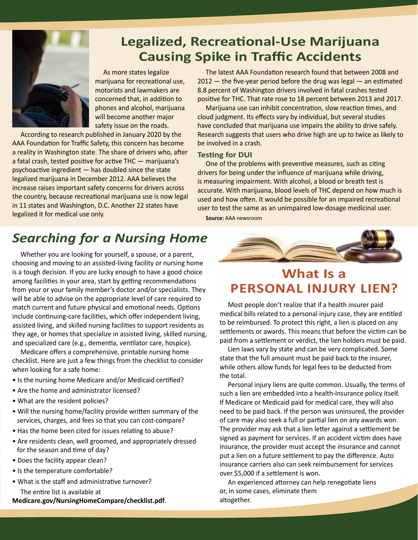

### **Legalized, Recreational-Use Marijuana Causing Spike in Traffic Accidents**

As more states legalize marijuana for recreational use, motorists and lawmakers are concerned that, in addition to phones and alcohol, marijuana will become another major safety issue on the roads.

According to research published in January 2020 by the AAA Foundation for Traffic Safety, this concern has become a reality in Washington state. The share of drivers who, after a fatal crash, tested positive for active THC — marijuana's psychoactive ingredient — has doubled since the state legalized marijuana in December 2012. AAA believes the increase raises important safety concerns for drivers across the country, because recreational marijuana use is now legal in 11 states and Washington, D.C. Another 22 states have legalized it for medical use only.

The latest AAA Foundation research found that between 2008 and  $2012$  — the five-year period before the drug was legal — an estimated 8.8 percent of Washington drivers involved in fatal crashes tested positive for THC. That rate rose to 18 percent between 2013 and 2017.

Marijuana use can inhibit concentration, slow reaction times, and cloud judgment. Its effects vary by individual, but several studies have concluded that marijuana use impairs the ability to drive safely. Research suggests that users who drive high are up to twice as likely to be involved in a crash.

#### **Testing for DUI**

One of the problems with preventive measures, such as citing drivers for being under the influence of marijuana while driving, is measuring impairment. With alcohol, a blood or breath test is accurate. With marijuana, blood levels of THC depend on how much is used and how often. It would be possible for an impaired recreational user to test the same as an unimpaired low-dosage medicinal user. **Source:** AAA newsroom

### *Searching for a Nursing Home*

Whether you are looking for yourself, a spouse, or a parent, choosing and moving to an assisted-living facility or nursing home is a tough decision. If you are lucky enough to have a good choice among facilities in your area, start by getting recommendations from your or your family member's doctor and/or specialists. They will be able to advise on the appropriate level of care required to match current and future physical and emotional needs. Options include continuing-care facilities, which offer independent living, assisted living, and skilled nursing facilities to support residents as they age, or homes that specialize in assisted living, skilled nursing, and specialized care (e.g., dementia, ventilator care, hospice).

Medicare offers a comprehensive, printable nursing home checklist. Here are just a few things from the checklist to consider when looking for a safe home:

- Is the nursing home Medicare and/or Medicaid certified?
- Are the home and administrator licensed?
- What are the resident policies?
- Will the nursing home/facility provide written summary of the services, charges, and fees so that you can cost-compare?
- Has the home been cited for issues relating to abuse?
- Are residents clean, well groomed, and appropriately dressed for the season and time of day?
- Does the facility appear clean?
- Is the temperature comfortable?
- What is the staff and administrative turnover? The entire list is available at

**Medicare.gov/NursingHomeCompare/checklist.pdf**.



### **What Is a PERSONAL INJURY LIEN?**

Most people don't realize that if a health insurer paid medical bills related to a personal injury case, they are entitled to be reimbursed. To protect this right, a lien is placed on any settlements or awards. This means that before the victim can be paid from a settlement or verdict, the lien holders must be paid.

Lien laws vary by state and can be very complicated. Some state that the full amount must be paid back to the insurer, while others allow funds for legal fees to be deducted from the total.

Personal injury liens are quite common. Usually, the terms of such a lien are embedded into a health-insurance policy itself. If Medicare or Medicaid paid for medical care, they will also need to be paid back. If the person was uninsured, the provider of care may also seek a full or partial lien on any awards won. The provider may ask that a lien letter against a settlement be signed as payment for services. If an accident victim does have insurance, the provider must accept the insurance and cannot put a lien on a future settlement to pay the difference. Auto insurance carriers also can seek reimbursement for services over \$5,000 if a settlement is won.

An experienced attorney can help renegotiate liens or, in some cases, eliminate them altogether.